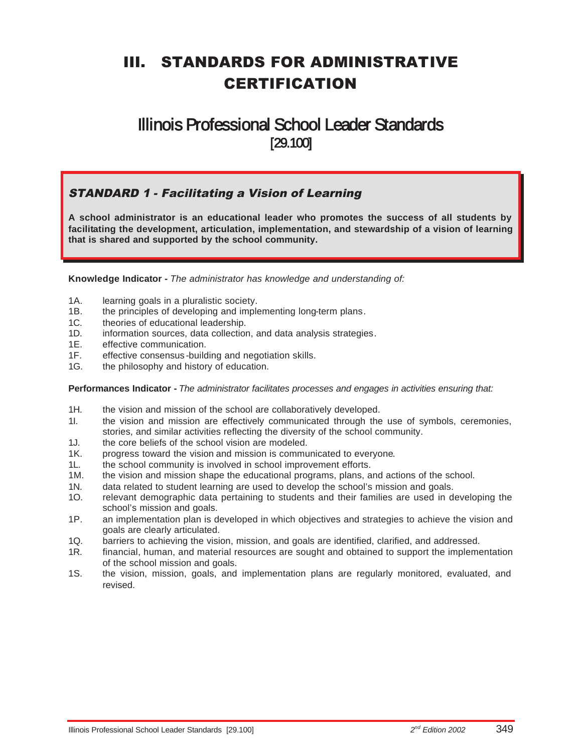# III. STANDARDS FOR ADMINISTRATIVE CERTIFICATION

## Illinois Professional School Leader Standards [29.100]

#### STANDARD 1 - Facilitating a Vision of Learning

**A school administrator is an educational leader who promotes the success of all students by facilitating the development, articulation, implementation, and stewardship of a vision of learning that is shared and supported by the school community.**

**Knowledge Indicator -** *The administrator has knowledge and understanding of:*

- 1A. learning goals in a pluralistic society.
- 1B. the principles of developing and implementing long-term plans.
- 1C. theories of educational leadership.
- 1D. information sources, data collection, and data analysis strategies.
- 1E. effective communication.
- 1F. effective consensus -building and negotiation skills.
- 1G. the philosophy and history of education.

#### **Performances Indicator -** *The administrator facilitates processes and engages in activities ensuring that:*

- 1H. the vision and mission of the school are collaboratively developed.
- 1I. the vision and mission are effectively communicated through the use of symbols, ceremonies, stories, and similar activities reflecting the diversity of the school community.
- 1J. the core beliefs of the school vision are modeled.
- 1K. progress toward the vision and mission is communicated to everyone.
- 1L. the school community is involved in school improvement efforts.
- 1M. the vision and mission shape the educational programs, plans, and actions of the school.
- 1N. data related to student learning are used to develop the school's mission and goals.
- 1O. relevant demographic data pertaining to students and their families are used in developing the school's mission and goals.
- 1P. an implementation plan is developed in which objectives and strategies to achieve the vision and goals are clearly articulated.
- 1Q. barriers to achieving the vision, mission, and goals are identified, clarified, and addressed.
- 1R. financial, human, and material resources are sought and obtained to support the implementation of the school mission and goals.
- 1S. the vision, mission, goals, and implementation plans are regularly monitored, evaluated, and revised.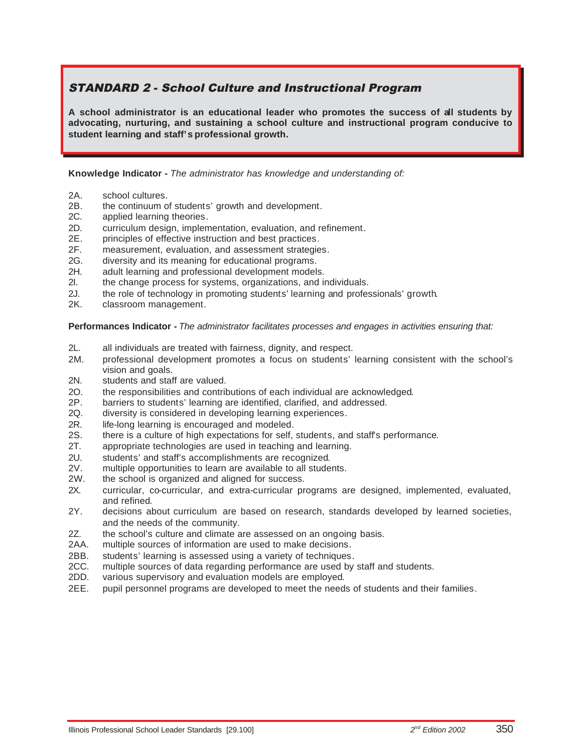## STANDARD 2 - School Culture and Instructional Program

**A school administrator is an educational leader who promotes the success of all students by advocating, nurturing, and sustaining a school culture and instructional program conducive to student learning and staff's professional growth.**

**Knowledge Indicator -** *The administrator has knowledge and understanding of:*

- 2A. school cultures.
- 2B. the continuum of students' growth and development.
- 2C. applied learning theories.
- 2D. curriculum design, implementation, evaluation, and refinement.
- 2E. principles of effective instruction and best practices.
- 2F. measurement, evaluation, and assessment strategies.
- 2G. diversity and its meaning for educational programs.
- 2H. adult learning and professional development models.
- 2I. the change process for systems, organizations, and individuals.
- 2J. the role of technology in promoting students' learning and professionals' growth.
- 2K. classroom management.

**Performances Indicator -** *The administrator facilitates processes and engages in activities ensuring that:*

- 2L. all individuals are treated with fairness, dignity, and respect.
- 2M. professional development promotes a focus on students' learning consistent with the school's vision and goals.
- 2N. students and staff are valued.
- 2O. the responsibilities and contributions of each individual are acknowledged.
- 2P. barriers to students' learning are identified, clarified, and addressed.
- 2Q. diversity is considered in developing learning experiences.
- 2R. life-long learning is encouraged and modeled.
- 2S. there is a culture of high expectations for self, students, and staff's performance.
- 2T. appropriate technologies are used in teaching and learning.
- 2U. students' and staff's accomplishments are recognized.
- 2V. multiple opportunities to learn are available to all students.
- 2W. the school is organized and aligned for success.
- 2X. curricular, co-curricular, and extra-curricular programs are designed, implemented, evaluated, and refined.
- 2Y. decisions about curriculum are based on research, standards developed by learned societies, and the needs of the community.
- 2Z. the school's culture and climate are assessed on an ongoing basis.
- 2AA. multiple sources of information are used to make decisions.
- 2BB. students' learning is assessed using a variety of techniques.
- 2CC. multiple sources of data regarding performance are used by staff and students.
- 2DD. various supervisory and evaluation models are employed.
- 2EE. pupil personnel programs are developed to meet the needs of students and their families.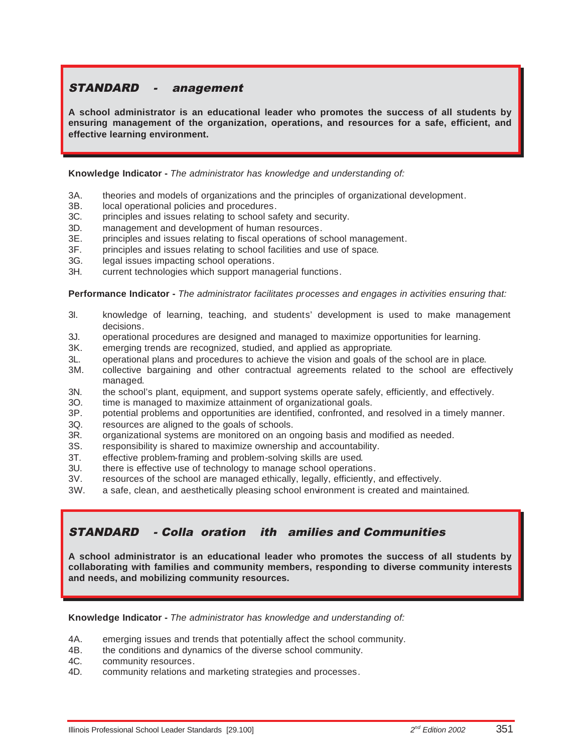## STANDARD - anagement

**A school administrator is an educational leader who promotes the success of all students by ensuring management of the organization, operations, and resources for a safe, efficient, and effective learning environment.**

**Knowledge Indicator -** *The administrator has knowledge and understanding of:*

- 3A. theories and models of organizations and the principles of organizational development.
- 3B. local operational policies and procedures.
- 3C. principles and issues relating to school safety and security.
- 3D. management and development of human resources.
- 3E. principles and issues relating to fiscal operations of school management.
- 3F. principles and issues relating to school facilities and use of space.
- 3G. legal issues impacting school operations.
- 3H. current technologies which support managerial functions.

**Performance Indicator -** *The administrator facilitates processes and engages in activities ensuring that:*

- 3I. knowledge of learning, teaching, and students' development is used to make management decisions.
- 3J. operational procedures are designed and managed to maximize opportunities for learning.
- 3K. emerging trends are recognized, studied, and applied as appropriate.
- 3L. operational plans and procedures to achieve the vision and goals of the school are in place.
- 3M. collective bargaining and other contractual agreements related to the school are effectively managed.
- 3N. the school's plant, equipment, and support systems operate safely, efficiently, and effectively.
- 3O. time is managed to maximize attainment of organizational goals.
- 3P. potential problems and opportunities are identified, confronted, and resolved in a timely manner.
- 3Q. resources are aligned to the goals of schools.
- 3R. organizational systems are monitored on an ongoing basis and modified as needed.
- 3S. responsibility is shared to maximize ownership and accountability.
- 3T. effective problem-framing and problem-solving skills are used.
- there is effective use of technology to manage school operations.
- 3V. resources of the school are managed ethically, legally, efficiently, and effectively.
- 3W. a safe, clean, and aesthetically pleasing school environment is created and maintained.

#### STANDARD - Colla oration ith amilies and Communities

**A school administrator is an educational leader who promotes the success of all students by collaborating with families and community members, responding to diverse community interests and needs, and mobilizing community resources.**

#### **Knowledge Indicator -** *The administrator has knowledge and understanding of:*

- 4A. emerging issues and trends that potentially affect the school community.
- 4B. the conditions and dynamics of the diverse school community.
- 4C. community resources.
- 4D. community relations and marketing strategies and processes.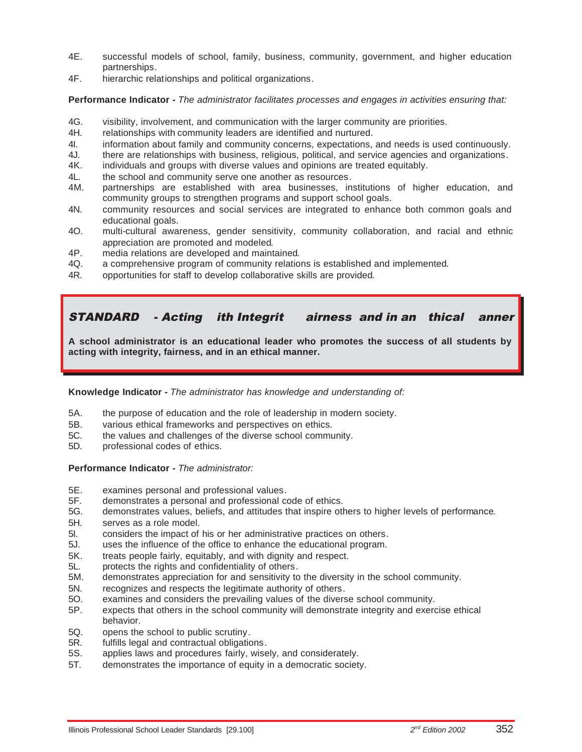- 4E. successful models of school, family, business, community, government, and higher education partnerships.
- 4F. hierarchic relationships and political organizations.

**Performance Indicator -** *The administrator facilitates processes and engages in activities ensuring that:*

- 4G. visibility, involvement, and communication with the larger community are priorities.
- 4H. relationships with community leaders are identified and nurtured.
- 4I. information about family and community concerns, expectations, and needs is used continuously.
- 4J. there are relationships with business, religious, political, and service agencies and organizations.
- 4K. individuals and groups with diverse values and opinions are treated equitably.
- 4L. the school and community serve one another as resources.
- 4M. partnerships are established with area businesses, institutions of higher education, and community groups to strengthen programs and support school goals.
- 4N. community resources and social services are integrated to enhance both common goals and educational goals.
- 4O. multi-cultural awareness, gender sensitivity, community collaboration, and racial and ethnic appreciation are promoted and modeled.
- 4P. media relations are developed and maintained.
- 4Q. a comprehensive program of community relations is established and implemented.
- 4R. opportunities for staff to develop collaborative skills are provided.

## STANDARD - Acting ith Integrit airness and in an thical anner

**A school administrator is an educational leader who promotes the success of all students by acting with integrity, fairness, and in an ethical manner.**

**Knowledge Indicator -** *The administrator has knowledge and understanding of:*

- 5A. the purpose of education and the role of leadership in modern society.
- 5B. various ethical frameworks and perspectives on ethics.
- 5C. the values and challenges of the diverse school community.
- 5D. professional codes of ethics.

#### **Performance Indicator -** *The administrator:*

- 5E. examines personal and professional values.
- demonstrates a personal and professional code of ethics.
- 5G. demonstrates values, beliefs, and attitudes that inspire others to higher levels of performance.
- 5H. serves as a role model.
- 5I. considers the impact of his or her administrative practices on others.
- 5J. uses the influence of the office to enhance the educational program.
- 5K. treats people fairly, equitably, and with dignity and respect.
- 5L. protects the rights and confidentiality of others.
- 5M. demonstrates appreciation for and sensitivity to the diversity in the school community.
- 5N. recognizes and respects the legitimate authority of others.
- 5O. examines and considers the prevailing values of the diverse school community.
- 5P. expects that others in the school community will demonstrate integrity and exercise ethical behavior.
- 5Q. opens the school to public scrutiny.
- 5R. fulfills legal and contractual obligations.
- 5S. applies laws and procedures fairly, wisely, and considerately.
- 5T. demonstrates the importance of equity in a democratic society.